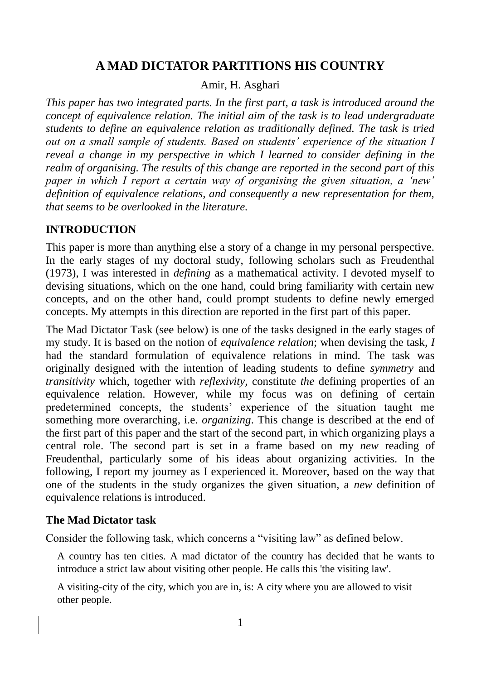## **A MAD DICTATOR PARTITIONS HIS COUNTRY**

#### Amir, H. Asghari

*This paper has two integrated parts. In the first part, a task is introduced around the concept of equivalence relation. The initial aim of the task is to lead undergraduate students to define an equivalence relation as traditionally defined. The task is tried out on a small sample of students. Based on students' experience of the situation I reveal a change in my perspective in which I learned to consider defining in the realm of organising. The results of this change are reported in the second part of this paper in which I report a certain way of organising the given situation, a 'new' definition of equivalence relations, and consequently a new representation for them, that seems to be overlooked in the literature.*

#### **INTRODUCTION**

This paper is more than anything else a story of a change in my personal perspective. In the early stages of my doctoral study, following scholars such as Freudenthal (1973), I was interested in *defining* as a mathematical activity. I devoted myself to devising situations, which on the one hand, could bring familiarity with certain new concepts, and on the other hand, could prompt students to define newly emerged concepts. My attempts in this direction are reported in the first part of this paper.

The Mad Dictator Task (see below) is one of the tasks designed in the early stages of my study. It is based on the notion of *equivalence relation*; when devising the task, *I* had the standard formulation of equivalence relations in mind. The task was originally designed with the intention of leading students to define *symmetry* and *transitivity* which, together with *reflexivity,* constitute *the* defining properties of an equivalence relation. However, while my focus was on defining of certain predetermined concepts, the students' experience of the situation taught me something more overarching, i.e. *organizing*. This change is described at the end of the first part of this paper and the start of the second part, in which organizing plays a central role. The second part is set in a frame based on my *new* reading of Freudenthal, particularly some of his ideas about organizing activities. In the following, I report my journey as I experienced it. Moreover, based on the way that one of the students in the study organizes the given situation, a *new* definition of equivalence relations is introduced.

#### **The Mad Dictator task**

Consider the following task, which concerns a "visiting law" as defined below.

A country has ten cities. A mad dictator of the country has decided that he wants to introduce a strict law about visiting other people. He calls this 'the visiting law'.

A visiting-city of the city, which you are in, is: A city where you are allowed to visit other people.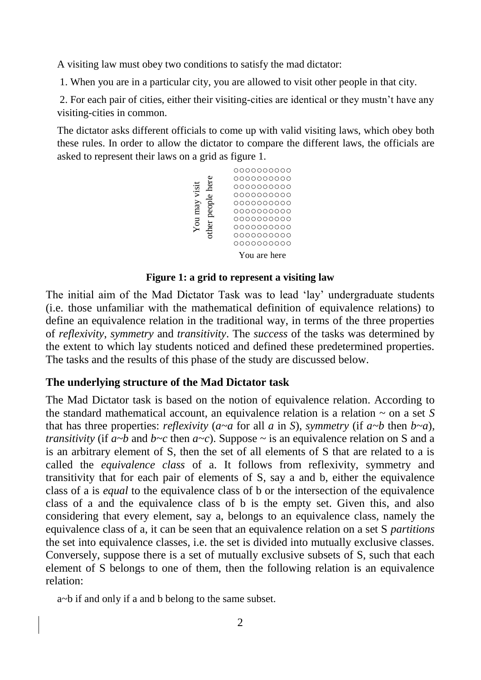A visiting law must obey two conditions to satisfy the mad dictator:

1. When you are in a particular city, you are allowed to visit other people in that city.

2. For each pair of cities, either their visiting-cities are identical or they mustn't have any visiting-cities in common.

The dictator asks different officials to come up with valid visiting laws, which obey both these rules. In order to allow the dictator to compare the different laws, the officials are asked to represent their laws on a grid as figure 1.



### **Figure 1: a grid to represent a visiting law**

The initial aim of the Mad Dictator Task was to lead 'lay' undergraduate students (i.e. those unfamiliar with the mathematical definition of equivalence relations) to define an equivalence relation in the traditional way, in terms of the three properties of *reflexivity*, *symmetry* and *transitivity*. The *success* of the tasks was determined by the extent to which lay students noticed and defined these predetermined properties. The tasks and the results of this phase of the study are discussed below.

## **The underlying structure of the Mad Dictator task**

The Mad Dictator task is based on the notion of equivalence relation. According to the standard mathematical account, an equivalence relation is a relation  $\sim$  on a set *S* that has three properties: *reflexivity* ( $a \sim a$  for all  $a$  in *S*), *symmetry* (if  $a \sim b$  then  $b \sim a$ ), *transitivity* (if  $a\nightharpoonup b$  and  $b\nightharpoonup c$  then  $a\nightharpoonup c$ ). Suppose  $\sim$  is an equivalence relation on S and a is an arbitrary element of S, then the set of all elements of S that are related to a is called the *equivalence class* of a. It follows from reflexivity, symmetry and transitivity that for each pair of elements of S, say a and b, either the equivalence class of a is *equal* to the equivalence class of b or the intersection of the equivalence class of a and the equivalence class of b is the empty set. Given this, and also considering that every element, say a, belongs to an equivalence class, namely the equivalence class of a, it can be seen that an equivalence relation on a set S *partitions* the set into equivalence classes, i.e. the set is divided into mutually exclusive classes. Conversely, suppose there is a set of mutually exclusive subsets of S, such that each element of S belongs to one of them, then the following relation is an equivalence relation:

a~b if and only if a and b belong to the same subset.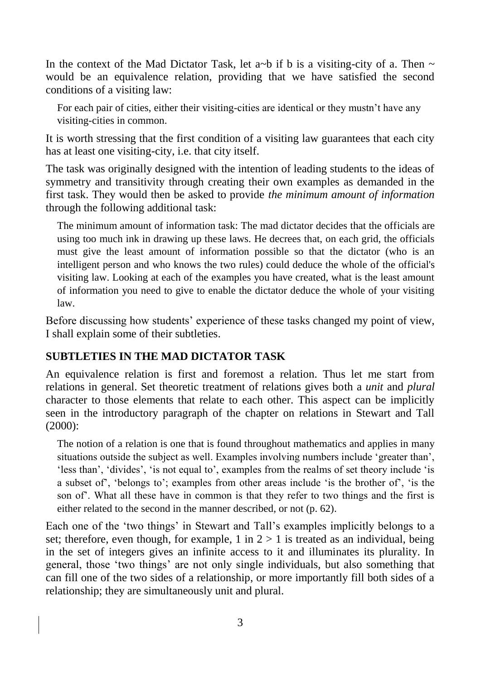In the context of the Mad Dictator Task, let a~b if b is a visiting-city of a. Then  $\sim$ would be an equivalence relation, providing that we have satisfied the second conditions of a visiting law:

For each pair of cities, either their visiting-cities are identical or they mustn't have any visiting-cities in common.

It is worth stressing that the first condition of a visiting law guarantees that each city has at least one visiting-city, i.e. that city itself.

The task was originally designed with the intention of leading students to the ideas of symmetry and transitivity through creating their own examples as demanded in the first task. They would then be asked to provide *the minimum amount of information* through the following additional task:

The minimum amount of information task: The mad dictator decides that the officials are using too much ink in drawing up these laws. He decrees that, on each grid, the officials must give the least amount of information possible so that the dictator (who is an intelligent person and who knows the two rules) could deduce the whole of the official's visiting law. Looking at each of the examples you have created, what is the least amount of information you need to give to enable the dictator deduce the whole of your visiting law.

Before discussing how students' experience of these tasks changed my point of view, I shall explain some of their subtleties.

# **SUBTLETIES IN THE MAD DICTATOR TASK**

An equivalence relation is first and foremost a relation. Thus let me start from relations in general. Set theoretic treatment of relations gives both a *unit* and *plural* character to those elements that relate to each other. This aspect can be implicitly seen in the introductory paragraph of the chapter on relations in Stewart and Tall (2000):

The notion of a relation is one that is found throughout mathematics and applies in many situations outside the subject as well. Examples involving numbers include 'greater than', 'less than', 'divides', 'is not equal to', examples from the realms of set theory include 'is a subset of', 'belongs to'; examples from other areas include 'is the brother of', 'is the son of'. What all these have in common is that they refer to two things and the first is either related to the second in the manner described, or not (p. 62).

Each one of the 'two things' in Stewart and Tall's examples implicitly belongs to a set; therefore, even though, for example, 1 in  $2 > 1$  is treated as an individual, being in the set of integers gives an infinite access to it and illuminates its plurality. In general, those 'two things' are not only single individuals, but also something that can fill one of the two sides of a relationship, or more importantly fill both sides of a relationship; they are simultaneously unit and plural.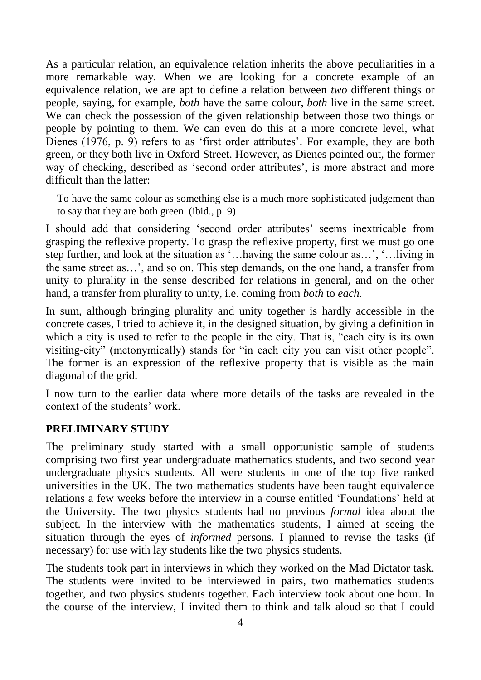As a particular relation, an equivalence relation inherits the above peculiarities in a more remarkable way. When we are looking for a concrete example of an equivalence relation, we are apt to define a relation between *two* different things or people, saying, for example, *both* have the same colour, *both* live in the same street. We can check the possession of the given relationship between those two things or people by pointing to them. We can even do this at a more concrete level, what Dienes (1976, p. 9) refers to as 'first order attributes'. For example, they are both green, or they both live in Oxford Street. However, as Dienes pointed out, the former way of checking, described as 'second order attributes', is more abstract and more difficult than the latter:

To have the same colour as something else is a much more sophisticated judgement than to say that they are both green. (ibid., p. 9)

I should add that considering 'second order attributes' seems inextricable from grasping the reflexive property. To grasp the reflexive property, first we must go one step further, and look at the situation as '…having the same colour as…', '…living in the same street as…', and so on. This step demands, on the one hand, a transfer from unity to plurality in the sense described for relations in general, and on the other hand, a transfer from plurality to unity, i.e. coming from *both* to *each.*

In sum, although bringing plurality and unity together is hardly accessible in the concrete cases, I tried to achieve it, in the designed situation, by giving a definition in which a city is used to refer to the people in the city. That is, "each city is its own visiting-city" (metonymically) stands for "in each city you can visit other people". The former is an expression of the reflexive property that is visible as the main diagonal of the grid.

I now turn to the earlier data where more details of the tasks are revealed in the context of the students' work.

## **PRELIMINARY STUDY**

The preliminary study started with a small opportunistic sample of students comprising two first year undergraduate mathematics students, and two second year undergraduate physics students. All were students in one of the top five ranked universities in the UK. The two mathematics students have been taught equivalence relations a few weeks before the interview in a course entitled 'Foundations' held at the University. The two physics students had no previous *formal* idea about the subject. In the interview with the mathematics students, I aimed at seeing the situation through the eyes of *informed* persons. I planned to revise the tasks (if necessary) for use with lay students like the two physics students.

The students took part in interviews in which they worked on the Mad Dictator task. The students were invited to be interviewed in pairs, two mathematics students together, and two physics students together. Each interview took about one hour. In the course of the interview, I invited them to think and talk aloud so that I could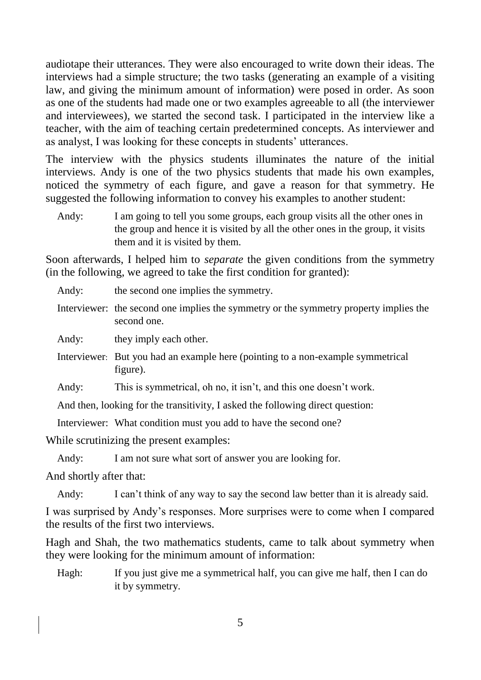audiotape their utterances. They were also encouraged to write down their ideas. The interviews had a simple structure; the two tasks (generating an example of a visiting law, and giving the minimum amount of information) were posed in order. As soon as one of the students had made one or two examples agreeable to all (the interviewer and interviewees), we started the second task. I participated in the interview like a teacher, with the aim of teaching certain predetermined concepts. As interviewer and as analyst, I was looking for these concepts in students' utterances.

The interview with the physics students illuminates the nature of the initial interviews. Andy is one of the two physics students that made his own examples, noticed the symmetry of each figure, and gave a reason for that symmetry. He suggested the following information to convey his examples to another student:

Andy: I am going to tell you some groups, each group visits all the other ones in the group and hence it is visited by all the other ones in the group, it visits them and it is visited by them.

Soon afterwards, I helped him to *separate* the given conditions from the symmetry (in the following, we agreed to take the first condition for granted):

Andy: the second one implies the symmetry.

Interviewer: the second one implies the symmetry or the symmetry property implies the second one.

Andy: they imply each other.

- Interviewer: But you had an example here (pointing to a non-example symmetrical figure).
- Andy: This is symmetrical, oh no, it isn't, and this one doesn't work.

And then, looking for the transitivity, I asked the following direct question:

Interviewer: What condition must you add to have the second one?

While scrutinizing the present examples:

Andy: I am not sure what sort of answer you are looking for.

And shortly after that:

Andy: I can't think of any way to say the second law better than it is already said.

I was surprised by Andy's responses. More surprises were to come when I compared the results of the first two interviews.

Hagh and Shah, the two mathematics students, came to talk about symmetry when they were looking for the minimum amount of information:

Hagh: If you just give me a symmetrical half, you can give me half, then I can do it by symmetry.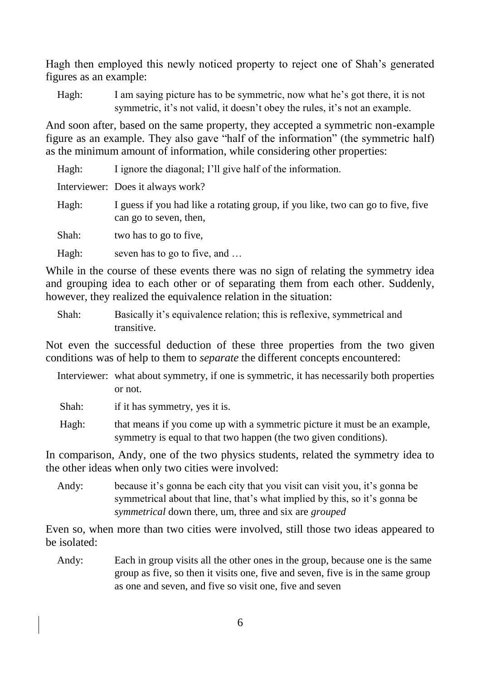Hagh then employed this newly noticed property to reject one of Shah's generated figures as an example:

Hagh: I am saying picture has to be symmetric, now what he's got there, it is not symmetric, it's not valid, it doesn't obey the rules, it's not an example.

And soon after, based on the same property, they accepted a symmetric non-example figure as an example. They also gave "half of the information" (the symmetric half) as the minimum amount of information, while considering other properties:

| Hagh: | I ignore the diagonal; I'll give half of the information.                                                 |
|-------|-----------------------------------------------------------------------------------------------------------|
|       | Interviewer: Does it always work?                                                                         |
| Hagh: | I guess if you had like a rotating group, if you like, two can go to five, five<br>can go to seven, then, |
| Shah: | two has to go to five,                                                                                    |
| Hagh: | seven has to go to five, and                                                                              |

While in the course of these events there was no sign of relating the symmetry idea and grouping idea to each other or of separating them from each other. Suddenly, however, they realized the equivalence relation in the situation:

Shah: Basically it's equivalence relation; this is reflexive, symmetrical and transitive.

Not even the successful deduction of these three properties from the two given conditions was of help to them to *separate* the different concepts encountered:

Interviewer: what about symmetry, if one is symmetric, it has necessarily both properties or not.

Shah: if it has symmetry, yes it is.

Hagh: that means if you come up with a symmetric picture it must be an example, symmetry is equal to that two happen (the two given conditions).

In comparison, Andy, one of the two physics students, related the symmetry idea to the other ideas when only two cities were involved:

Andy: because it's gonna be each city that you visit can visit you, it's gonna be symmetrical about that line, that's what implied by this, so it's gonna be *symmetrical* down there, um, three and six are *grouped*

Even so, when more than two cities were involved, still those two ideas appeared to be isolated:

Andy: Each in group visits all the other ones in the group, because one is the same group as five, so then it visits one, five and seven, five is in the same group as one and seven, and five so visit one, five and seven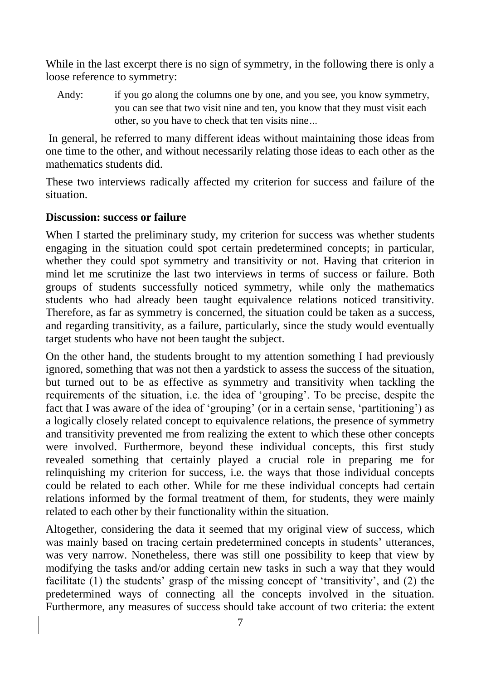While in the last excerpt there is no sign of symmetry, in the following there is only a loose reference to symmetry:

Andy: if you go along the columns one by one, and you see, you know symmetry, you can see that two visit nine and ten, you know that they must visit each other, so you have to check that ten visits nine*…* 

In general, he referred to many different ideas without maintaining those ideas from one time to the other, and without necessarily relating those ideas to each other as the mathematics students did.

These two interviews radically affected my criterion for success and failure of the situation.

## **Discussion: success or failure**

When I started the preliminary study, my criterion for success was whether students engaging in the situation could spot certain predetermined concepts; in particular, whether they could spot symmetry and transitivity or not. Having that criterion in mind let me scrutinize the last two interviews in terms of success or failure. Both groups of students successfully noticed symmetry, while only the mathematics students who had already been taught equivalence relations noticed transitivity. Therefore, as far as symmetry is concerned, the situation could be taken as a success, and regarding transitivity, as a failure, particularly, since the study would eventually target students who have not been taught the subject.

On the other hand, the students brought to my attention something I had previously ignored, something that was not then a yardstick to assess the success of the situation, but turned out to be as effective as symmetry and transitivity when tackling the requirements of the situation, i.e. the idea of 'grouping'. To be precise, despite the fact that I was aware of the idea of 'grouping' (or in a certain sense, 'partitioning') as a logically closely related concept to equivalence relations, the presence of symmetry and transitivity prevented me from realizing the extent to which these other concepts were involved. Furthermore, beyond these individual concepts, this first study revealed something that certainly played a crucial role in preparing me for relinquishing my criterion for success, i.e. the ways that those individual concepts could be related to each other. While for me these individual concepts had certain relations informed by the formal treatment of them, for students, they were mainly related to each other by their functionality within the situation.

Altogether, considering the data it seemed that my original view of success, which was mainly based on tracing certain predetermined concepts in students' utterances, was very narrow. Nonetheless, there was still one possibility to keep that view by modifying the tasks and/or adding certain new tasks in such a way that they would facilitate (1) the students' grasp of the missing concept of 'transitivity', and (2) the predetermined ways of connecting all the concepts involved in the situation. Furthermore, any measures of success should take account of two criteria: the extent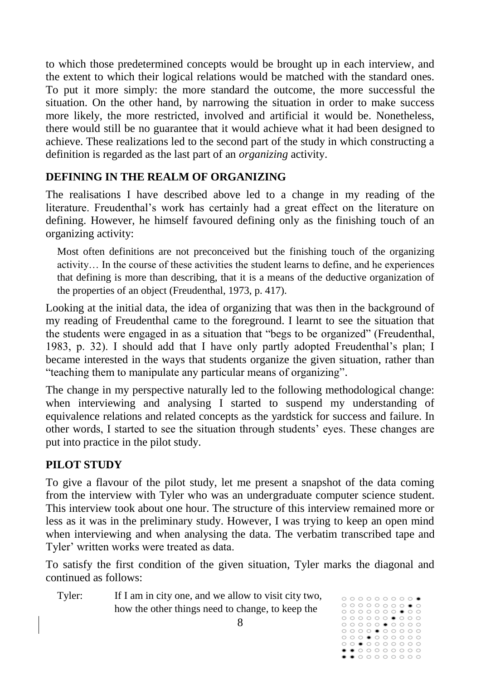to which those predetermined concepts would be brought up in each interview, and the extent to which their logical relations would be matched with the standard ones. To put it more simply: the more standard the outcome, the more successful the situation. On the other hand, by narrowing the situation in order to make success more likely, the more restricted, involved and artificial it would be. Nonetheless, there would still be no guarantee that it would achieve what it had been designed to achieve. These realizations led to the second part of the study in which constructing a definition is regarded as the last part of an *organizing* activity.

# **DEFINING IN THE REALM OF ORGANIZING**

The realisations I have described above led to a change in my reading of the literature. Freudenthal's work has certainly had a great effect on the literature on defining. However, he himself favoured defining only as the finishing touch of an organizing activity:

Most often definitions are not preconceived but the finishing touch of the organizing activity… In the course of these activities the student learns to define, and he experiences that defining is more than describing, that it is a means of the deductive organization of the properties of an object (Freudenthal, 1973, p. 417).

Looking at the initial data, the idea of organizing that was then in the background of my reading of Freudenthal came to the foreground. I learnt to see the situation that the students were engaged in as a situation that "begs to be organized" (Freudenthal, 1983, p. 32). I should add that I have only partly adopted Freudenthal's plan; I became interested in the ways that students organize the given situation, rather than "teaching them to manipulate any particular means of organizing".

The change in my perspective naturally led to the following methodological change: when interviewing and analysing I started to suspend my understanding of equivalence relations and related concepts as the yardstick for success and failure. In other words, I started to see the situation through students' eyes. These changes are put into practice in the pilot study.

# **PILOT STUDY**

To give a flavour of the pilot study, let me present a snapshot of the data coming from the interview with Tyler who was an undergraduate computer science student. This interview took about one hour. The structure of this interview remained more or less as it was in the preliminary study. However, I was trying to keep an open mind when interviewing and when analysing the data. The verbatim transcribed tape and Tyler' written works were treated as data.

To satisfy the first condition of the given situation, Tyler marks the diagonal and continued as follows:

Tyler: If I am in city one, and we allow to visit city two, how the other things need to change, to keep the

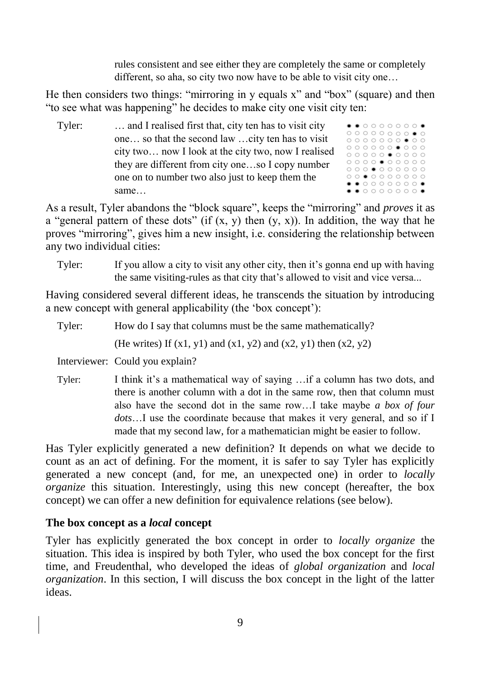rules consistent and see either they are completely the same or completely different, so aha, so city two now have to be able to visit city one...

> $\bullet\bullet\circ\circ\circ\circ\circ\circ\bullet$  $000000000$  $00000000$

 $\bullet$ 0000000

 $000000000$  $00000000000$  $00000000000$  $00000000000$  $0.0000000000$  $\bullet$  0000000

 $\bullet$ 

 $\circ$   $\circ$ 

He then considers two things: "mirroring in y equals  $x$ " and "box" (square) and then "to see what was happening" he decides to make city one visit city ten:

Tyler: … and I realised first that, city ten has to visit city one… so that the second law …city ten has to visit city two… now I look at the city two, now I realised they are different from city one…so I copy number one on to number two also just to keep them the same…

As a result, Tyler abandons the "block square", keeps the "mirroring" and *proves* it as a "general pattern of these dots" (if  $(x, y)$  then  $(y, x)$ ). In addition, the way that he proves "mirroring", gives him a new insight, i.e. considering the relationship between any two individual cities:

Tyler: If you allow a city to visit any other city, then it's gonna end up with having the same visiting-rules as that city that's allowed to visit and vice versa...

Having considered several different ideas, he transcends the situation by introducing a new concept with general applicability (the 'box concept'):

Tyler: How do I say that columns must be the same mathematically? (He writes) If  $(x1, y1)$  and  $(x1, y2)$  and  $(x2, y1)$  then  $(x2, y2)$ 

Interviewer: Could you explain?

Tyler: I think it's a mathematical way of saying …if a column has two dots, and there is another column with a dot in the same row, then that column must also have the second dot in the same row…I take maybe *a box of four dots*…I use the coordinate because that makes it very general, and so if I made that my second law, for a mathematician might be easier to follow.

Has Tyler explicitly generated a new definition? It depends on what we decide to count as an act of defining. For the moment, it is safer to say Tyler has explicitly generated a new concept (and, for me, an unexpected one) in order to *locally organize* this situation. Interestingly, using this new concept (hereafter, the box concept) we can offer a new definition for equivalence relations (see below).

### **The box concept as a** *local* **concept**

Tyler has explicitly generated the box concept in order to *locally organize* the situation. This idea is inspired by both Tyler, who used the box concept for the first time, and Freudenthal, who developed the ideas of *global organization* and *local organization*. In this section, I will discuss the box concept in the light of the latter ideas.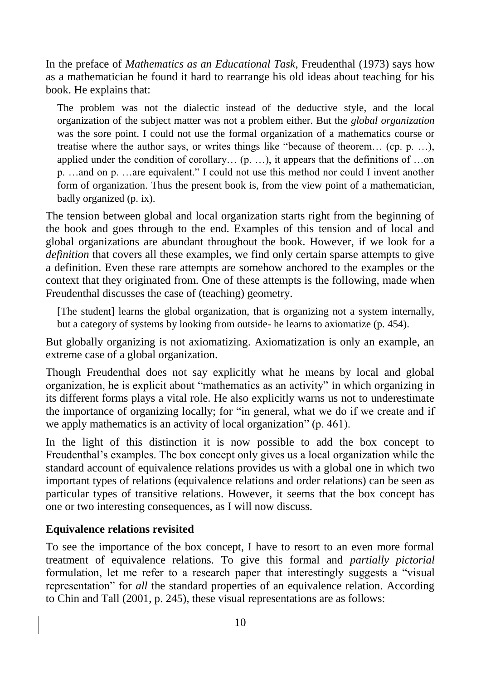In the preface of *Mathematics as an Educational Task*, Freudenthal (1973) says how as a mathematician he found it hard to rearrange his old ideas about teaching for his book. He explains that:

The problem was not the dialectic instead of the deductive style, and the local organization of the subject matter was not a problem either. But the *global organization* was the sore point. I could not use the formal organization of a mathematics course or treatise where the author says, or writes things like "because of theorem… (cp. p. …), applied under the condition of corollary… (p. …), it appears that the definitions of …on p. …and on p. …are equivalent." I could not use this method nor could I invent another form of organization. Thus the present book is, from the view point of a mathematician, badly organized (p. ix).

The tension between global and local organization starts right from the beginning of the book and goes through to the end. Examples of this tension and of local and global organizations are abundant throughout the book. However, if we look for a *definition* that covers all these examples, we find only certain sparse attempts to give a definition. Even these rare attempts are somehow anchored to the examples or the context that they originated from. One of these attempts is the following, made when Freudenthal discusses the case of (teaching) geometry.

[The student] learns the global organization, that is organizing not a system internally, but a category of systems by looking from outside- he learns to axiomatize (p. 454).

But globally organizing is not axiomatizing. Axiomatization is only an example, an extreme case of a global organization.

Though Freudenthal does not say explicitly what he means by local and global organization, he is explicit about "mathematics as an activity" in which organizing in its different forms plays a vital role. He also explicitly warns us not to underestimate the importance of organizing locally; for "in general, what we do if we create and if we apply mathematics is an activity of local organization" (p. 461).

In the light of this distinction it is now possible to add the box concept to Freudenthal's examples. The box concept only gives us a local organization while the standard account of equivalence relations provides us with a global one in which two important types of relations (equivalence relations and order relations) can be seen as particular types of transitive relations. However, it seems that the box concept has one or two interesting consequences, as I will now discuss.

## **Equivalence relations revisited**

To see the importance of the box concept, I have to resort to an even more formal treatment of equivalence relations. To give this formal and *partially pictorial*  formulation, let me refer to a research paper that interestingly suggests a "visual representation" for *all* the standard properties of an equivalence relation. According to Chin and Tall (2001, p. 245), these visual representations are as follows: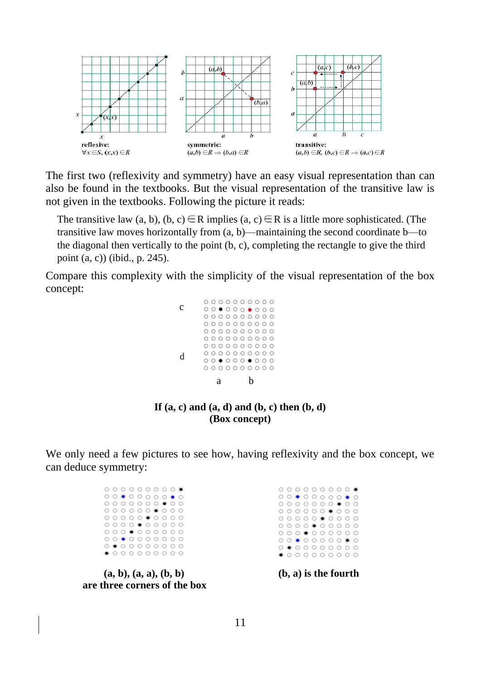

The first two (reflexivity and symmetry) have an easy visual representation than can also be found in the textbooks. But the visual representation of the transitive law is not given in the textbooks. Following the picture it reads:

The transitive law (a, b), (b, c)  $\in$  R implies (a, c)  $\in$  R is a little more sophisticated. (The transitive law moves horizontally from (a, b)—maintaining the second coordinate b—to the diagonal then vertically to the point (b, c), completing the rectangle to give the third point (a, c)) (ibid., p. 245).

Compare this complexity with the simplicity of the visual representation of the box concept:



#### **If (a, c) and (a, d) and (b, c) then (b, d) (Box concept)**

We only need a few pictures to see how, having reflexivity and the box concept, we can deduce symmetry:

|  |  | ○ ○ ○ ○ ○ ○ ○ ○ ○ ●         |  |  |  |
|--|--|-----------------------------|--|--|--|
|  |  | 0000000000                  |  |  |  |
|  |  | ○ ○ ○ ○ ○ ○ ○ ○ ● ○ ○       |  |  |  |
|  |  | 0 0 0 0 0 0 0 0 0 0         |  |  |  |
|  |  | ○ ○ ○ ○ ○ ○ ● ○ ○ ○ ○       |  |  |  |
|  |  | 0 0 0 0 0 0 0 0 0           |  |  |  |
|  |  | ○ ○ ○ ● ○ ○ ○ ○ ○ ○         |  |  |  |
|  |  | ○ ○ ● ○ ○ ○ ○ ○ ○ ○         |  |  |  |
|  |  | 0 0 0 0 0 0 0 0 0           |  |  |  |
|  |  | $\bullet$ 0 0 0 0 0 0 0 0 0 |  |  |  |
|  |  |                             |  |  |  |

**(a, b), (a, a), (b, b) (b, a) is the fourth are three corners of the box**

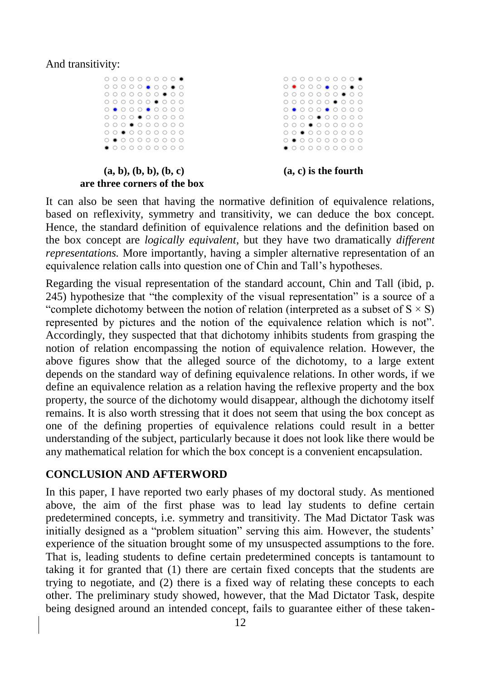### And transitivity:

|  | ○ ○ ○ ○ ○ ○ ○ ○ ○ <b>●</b>  |  |  |  |  |
|--|-----------------------------|--|--|--|--|
|  | ○ ○ ○ ○ ○ ○ ● ○ ○ ● ○       |  |  |  |  |
|  | ○ ○ ○ ○ ○ ○ ○ ○ ● ○ ○       |  |  |  |  |
|  | ○ ○ ○ ○ ○ ○ ○ ● ○ ○ ○       |  |  |  |  |
|  |                             |  |  |  |  |
|  | ○ ○ ○ ○ ○ ● ○ ○ ○ ○ ○       |  |  |  |  |
|  | ○ ○ ○ ● ○ ○ ○ ○ ○ ○         |  |  |  |  |
|  | ○ ○ ● ○ ○ ○ ○ ○ ○ ○         |  |  |  |  |
|  | ○ ● ○ ○ ○ ○ ○ ○ ○ ○ ○       |  |  |  |  |
|  | $\bullet$ 0 0 0 0 0 0 0 0 0 |  |  |  |  |

### $(a, b), (b, b), (b, c)$  (a, c) is the fourth  **are three corners of the box**

 $0000000000$  $0 0 0 0 0 0 0 0 0 0 0 0$  $0 0 0 0 0 0 0 0 0 0 0$  $0 0 0 0 0 0 0 0 0 0 0 0$  $00000000000$  $0000000000$  $0 0 0 0 0 0 0 0 0 0$  $0000000000$ 

It can also be seen that having the normative definition of equivalence relations, based on reflexivity, symmetry and transitivity, we can deduce the box concept. Hence, the standard definition of equivalence relations and the definition based on the box concept are *logically equivalent*, but they have two dramatically *different representations.* More importantly, having a simpler alternative representation of an equivalence relation calls into question one of Chin and Tall's hypotheses.

Regarding the visual representation of the standard account, Chin and Tall (ibid, p. 245) hypothesize that "the complexity of the visual representation" is a source of a "complete dichotomy between the notion of relation (interpreted as a subset of  $S \times S$ ) represented by pictures and the notion of the equivalence relation which is not". Accordingly, they suspected that that dichotomy inhibits students from grasping the notion of relation encompassing the notion of equivalence relation. However, the above figures show that the alleged source of the dichotomy, to a large extent depends on the standard way of defining equivalence relations. In other words, if we define an equivalence relation as a relation having the reflexive property and the box property, the source of the dichotomy would disappear, although the dichotomy itself remains. It is also worth stressing that it does not seem that using the box concept as one of the defining properties of equivalence relations could result in a better understanding of the subject, particularly because it does not look like there would be any mathematical relation for which the box concept is a convenient encapsulation.

## **CONCLUSION AND AFTERWORD**

In this paper, I have reported two early phases of my doctoral study. As mentioned above, the aim of the first phase was to lead lay students to define certain predetermined concepts, i.e. symmetry and transitivity. The Mad Dictator Task was initially designed as a "problem situation" serving this aim. However, the students' experience of the situation brought some of my unsuspected assumptions to the fore. That is, leading students to define certain predetermined concepts is tantamount to taking it for granted that (1) there are certain fixed concepts that the students are trying to negotiate, and (2) there is a fixed way of relating these concepts to each other. The preliminary study showed, however, that the Mad Dictator Task, despite being designed around an intended concept, fails to guarantee either of these taken-